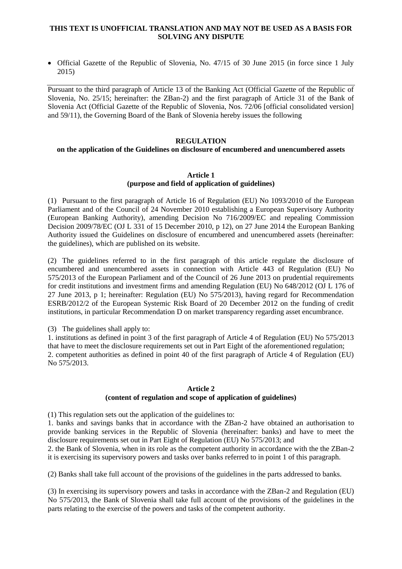### **THIS TEXT IS UNOFFICIAL TRANSLATION AND MAY NOT BE USED AS A BASIS FOR SOLVING ANY DISPUTE**

• Official Gazette of the Republic of Slovenia, No. 47/15 of 30 June 2015 (in force since 1 July 2015)

Pursuant to the third paragraph of Article 13 of the Banking Act (Official Gazette of the Republic of Slovenia, No. 25/15; hereinafter: the ZBan-2) and the first paragraph of Article 31 of the Bank of Slovenia Act (Official Gazette of the Republic of Slovenia, Nos. 72/06 [official consolidated version] and 59/11), the Governing Board of the Bank of Slovenia hereby issues the following

### **REGULATION**

### **on the application of the Guidelines on disclosure of encumbered and unencumbered assets**

#### **Article 1**

### **(purpose and field of application of guidelines)**

(1) Pursuant to the first paragraph of Article 16 of Regulation (EU) No 1093/2010 of the European Parliament and of the Council of 24 November 2010 establishing a European Supervisory Authority (European Banking Authority), amending Decision No 716/2009/EC and repealing Commission Decision 2009/78/EC (OJ L 331 of 15 December 2010, p 12), on 27 June 2014 the European Banking Authority issued the Guidelines on disclosure of encumbered and unencumbered assets (hereinafter: the guidelines), which are published on its website.

(2) The guidelines referred to in the first paragraph of this article regulate the disclosure of encumbered and unencumbered assets in connection with Article 443 of Regulation (EU) No 575/2013 of the European Parliament and of the Council of 26 June 2013 on prudential requirements for credit institutions and investment firms and amending Regulation (EU) No 648/2012 (OJ L 176 of 27 June 2013, p 1; hereinafter: Regulation (EU) No 575/2013), having regard for Recommendation ESRB/2012/2 of the European Systemic Risk Board of 20 December 2012 on the funding of credit institutions, in particular Recommendation D on market transparency regarding asset encumbrance.

(3) The guidelines shall apply to:

1. institutions as defined in point 3 of the first paragraph of Article 4 of Regulation (EU) No 575/2013 that have to meet the disclosure requirements set out in Part Eight of the aforementioned regulation; 2. competent authorities as defined in point 40 of the first paragraph of Article 4 of Regulation (EU) No 575/2013.

#### **Article 2**

### **(content of regulation and scope of application of guidelines)**

(1) This regulation sets out the application of the guidelines to:

1. banks and savings banks that in accordance with the ZBan-2 have obtained an authorisation to provide banking services in the Republic of Slovenia (hereinafter: banks) and have to meet the disclosure requirements set out in Part Eight of Regulation (EU) No 575/2013; and

2. the Bank of Slovenia, when in its role as the competent authority in accordance with the the ZBan-2 it is exercising its supervisory powers and tasks over banks referred to in point 1 of this paragraph.

(2) Banks shall take full account of the provisions of the guidelines in the parts addressed to banks.

(3) In exercising its supervisory powers and tasks in accordance with the ZBan-2 and Regulation (EU) No 575/2013, the Bank of Slovenia shall take full account of the provisions of the guidelines in the parts relating to the exercise of the powers and tasks of the competent authority.